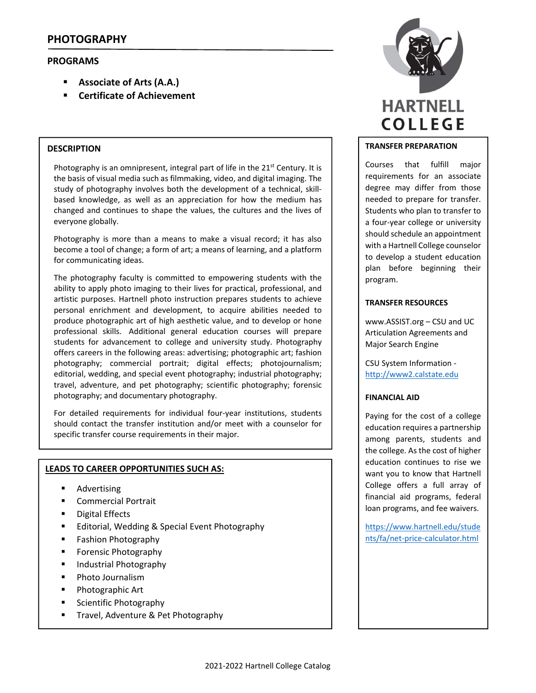# **PROGRAMS**

- **Associate of Arts (A.A.)**
- **Certificate of Achievement**

## **DESCRIPTION**

Photography is an omnipresent, integral part of life in the 21<sup>st</sup> Century. It is the basis of visual media such as filmmaking, video, and digital imaging. The study of photography involves both the development of a technical, skill‐ based knowledge, as well as an appreciation for how the medium has changed and continues to shape the values, the cultures and the lives of everyone globally.

Photography is more than a means to make a visual record; it has also become a tool of change; a form of art; a means of learning, and a platform for communicating ideas.

The photography faculty is committed to empowering students with the ability to apply photo imaging to their lives for practical, professional, and artistic purposes. Hartnell photo instruction prepares students to achieve personal enrichment and development, to acquire abilities needed to produce photographic art of high aesthetic value, and to develop or hone professional skills. Additional general education courses will prepare students for advancement to college and university study. Photography offers careers in the following areas: advertising; photographic art; fashion photography; commercial portrait; digital effects; photojournalism; editorial, wedding, and special event photography; industrial photography; travel, adventure, and pet photography; scientific photography; forensic photography; and documentary photography.

For detailed requirements for individual four‐year institutions, students should contact the transfer institution and/or meet with a counselor for specific transfer course requirements in their major.

## **LEADS TO CAREER OPPORTUNITIES SUCH AS:**

- **Advertising**
- Commercial Portrait
- **•** Digital Effects
- **Editorial, Wedding & Special Event Photography**
- **Fashion Photography**
- **Forensic Photography**
- Industrial Photography
- **•** Photo Journalism
- **Photographic Art**
- **Scientific Photography**
- **Travel, Adventure & Pet Photography**



### **TRANSFER PREPARATION**

Courses that fulfill major requirements for an associate degree may differ from those needed to prepare for transfer. Students who plan to transfer to a four‐year college or university should schedule an appointment with a Hartnell College counselor to develop a student education plan before beginning their program.

## **TRANSFER RESOURCES**

www.ASSIST.org – CSU and UC Articulation Agreements and Major Search Engine

CSU System Information ‐ http://www2.calstate.edu

## **FINANCIAL AID**

Paying for the cost of a college education requires a partnership among parents, students and the college. As the cost of higher education continues to rise we want you to know that Hartnell College offers a full array of financial aid programs, federal loan programs, and fee waivers.

https://www.hartnell.edu/stude nts/fa/net‐price‐calculator.html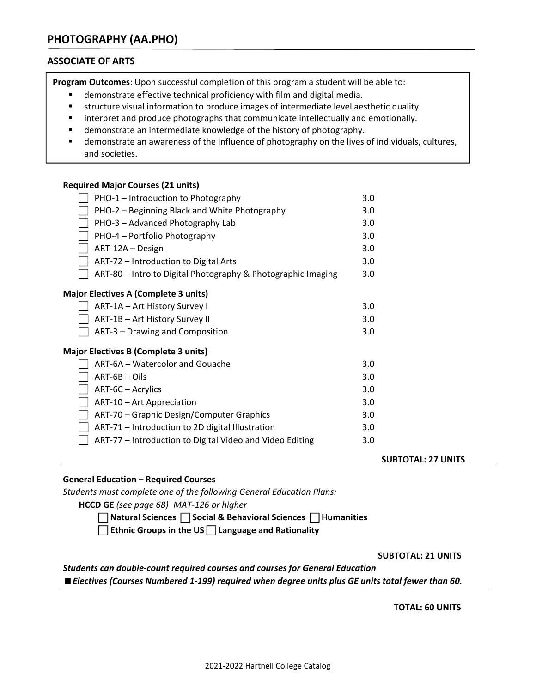# **ASSOCIATE OF ARTS**

**Program Outcomes**: Upon successful completion of this program a student will be able to:

- demonstrate effective technical proficiency with film and digital media.
- structure visual information to produce images of intermediate level aesthetic quality.
- **EXEDENT INTERT 20 Interpret and produce photographs that communicate intellectually and emotionally.**
- demonstrate an intermediate knowledge of the history of photography.
- demonstrate an awareness of the influence of photography on the lives of individuals, cultures, and societies.

## **Required Major Courses (21 units)**

| PHO-1 - Introduction to Photography                          | 3.0 |
|--------------------------------------------------------------|-----|
| PHO-2 - Beginning Black and White Photography                | 3.0 |
| PHO-3 - Advanced Photography Lab                             | 3.0 |
| PHO-4 – Portfolio Photography                                | 3.0 |
| ART-12A - Design                                             | 3.0 |
| ART-72 – Introduction to Digital Arts                        | 3.0 |
| ART-80 - Intro to Digital Photography & Photographic Imaging | 3.0 |
| <b>Major Electives A (Complete 3 units)</b>                  |     |
| ART-1A - Art History Survey I                                | 3.0 |
| ART-1B - Art History Survey II                               | 3.0 |
| ART-3 - Drawing and Composition                              | 3.0 |
| <b>Major Electives B (Complete 3 units)</b>                  |     |
| ART-6A - Watercolor and Gouache                              | 3.0 |
| $ART-6B - Oils$                                              | 3.0 |
| ART-6C - Acrylics                                            | 3.0 |
| ART-10 - Art Appreciation                                    | 3.0 |
| ART-70 - Graphic Design/Computer Graphics                    | 3.0 |
| ART-71 - Introduction to 2D digital Illustration             | 3.0 |
| ART-77 - Introduction to Digital Video and Video Editing     | 3.0 |
|                                                              |     |

#### **SUBTOTAL: 27 UNITS**

## **General Education – Required Courses**

*Students must complete one of the following General Education Plans:*

**HCCD GE** *(see page 68) MAT‐126 or higher*

 **Natural Sciences Social & Behavioral Sciences Humanities** 

**Ethnic Groups in the US Language and Rationality**

 **SUBTOTAL: 21 UNITS**

*Students can double‐count required courses and courses for General Education Electives (Courses Numbered 1‐199) required when degree units plus GE units total fewer than 60.*

 **TOTAL: 60 UNITS**